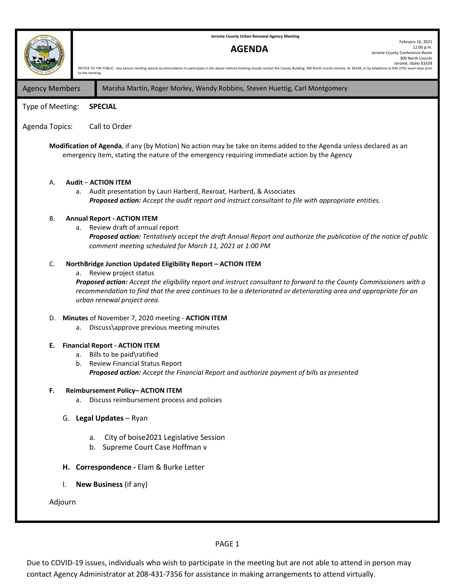

PAGE 1

Due to COVID-19 issues, individuals who wish to participate in the meeting but are not able to attend in person may contact Agency Administrator at 208-431-7356 for assistance in making arrangements to attend virtually.